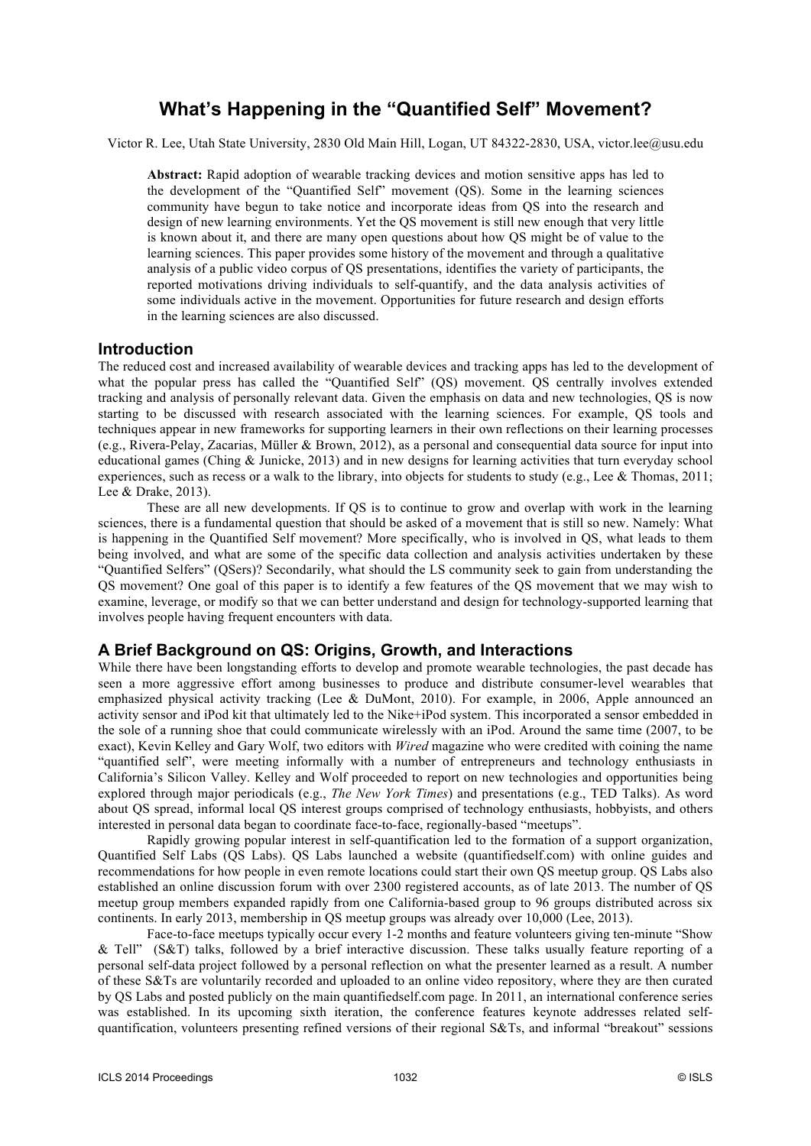# **What's Happening in the "Quantified Self" Movement?**

Victor R. Lee, Utah State University, 2830 Old Main Hill, Logan, UT 84322-2830, USA, victor.lee@usu.edu

**Abstract:** Rapid adoption of wearable tracking devices and motion sensitive apps has led to the development of the "Quantified Self" movement (QS). Some in the learning sciences community have begun to take notice and incorporate ideas from QS into the research and design of new learning environments. Yet the QS movement is still new enough that very little is known about it, and there are many open questions about how QS might be of value to the learning sciences. This paper provides some history of the movement and through a qualitative analysis of a public video corpus of QS presentations, identifies the variety of participants, the reported motivations driving individuals to self-quantify, and the data analysis activities of some individuals active in the movement. Opportunities for future research and design efforts in the learning sciences are also discussed.

# **Introduction**

The reduced cost and increased availability of wearable devices and tracking apps has led to the development of what the popular press has called the "Quantified Self" (QS) movement. QS centrally involves extended tracking and analysis of personally relevant data. Given the emphasis on data and new technologies, QS is now starting to be discussed with research associated with the learning sciences. For example, QS tools and techniques appear in new frameworks for supporting learners in their own reflections on their learning processes (e.g., Rivera-Pelay, Zacarias, Müller & Brown, 2012), as a personal and consequential data source for input into educational games (Ching & Junicke, 2013) and in new designs for learning activities that turn everyday school experiences, such as recess or a walk to the library, into objects for students to study (e.g., Lee & Thomas, 2011; Lee & Drake, 2013).

These are all new developments. If QS is to continue to grow and overlap with work in the learning sciences, there is a fundamental question that should be asked of a movement that is still so new. Namely: What is happening in the Quantified Self movement? More specifically, who is involved in QS, what leads to them being involved, and what are some of the specific data collection and analysis activities undertaken by these "Quantified Selfers" (QSers)? Secondarily, what should the LS community seek to gain from understanding the QS movement? One goal of this paper is to identify a few features of the QS movement that we may wish to examine, leverage, or modify so that we can better understand and design for technology-supported learning that involves people having frequent encounters with data.

# **A Brief Background on QS: Origins, Growth, and Interactions**

While there have been longstanding efforts to develop and promote wearable technologies, the past decade has seen a more aggressive effort among businesses to produce and distribute consumer-level wearables that emphasized physical activity tracking (Lee & DuMont, 2010). For example, in 2006, Apple announced an activity sensor and iPod kit that ultimately led to the Nike+iPod system. This incorporated a sensor embedded in the sole of a running shoe that could communicate wirelessly with an iPod. Around the same time (2007, to be exact), Kevin Kelley and Gary Wolf, two editors with *Wired* magazine who were credited with coining the name "quantified self", were meeting informally with a number of entrepreneurs and technology enthusiasts in California's Silicon Valley. Kelley and Wolf proceeded to report on new technologies and opportunities being explored through major periodicals (e.g., *The New York Times*) and presentations (e.g., TED Talks). As word about QS spread, informal local QS interest groups comprised of technology enthusiasts, hobbyists, and others interested in personal data began to coordinate face-to-face, regionally-based "meetups".

Rapidly growing popular interest in self-quantification led to the formation of a support organization, Quantified Self Labs (QS Labs). QS Labs launched a website (quantifiedself.com) with online guides and recommendations for how people in even remote locations could start their own QS meetup group. QS Labs also established an online discussion forum with over 2300 registered accounts, as of late 2013. The number of QS meetup group members expanded rapidly from one California-based group to 96 groups distributed across six continents. In early 2013, membership in QS meetup groups was already over 10,000 (Lee, 2013).

Face-to-face meetups typically occur every 1-2 months and feature volunteers giving ten-minute "Show & Tell" (S&T) talks, followed by a brief interactive discussion. These talks usually feature reporting of a personal self-data project followed by a personal reflection on what the presenter learned as a result. A number of these S&Ts are voluntarily recorded and uploaded to an online video repository, where they are then curated by QS Labs and posted publicly on the main quantifiedself.com page. In 2011, an international conference series was established. In its upcoming sixth iteration, the conference features keynote addresses related selfquantification, volunteers presenting refined versions of their regional S&Ts, and informal "breakout" sessions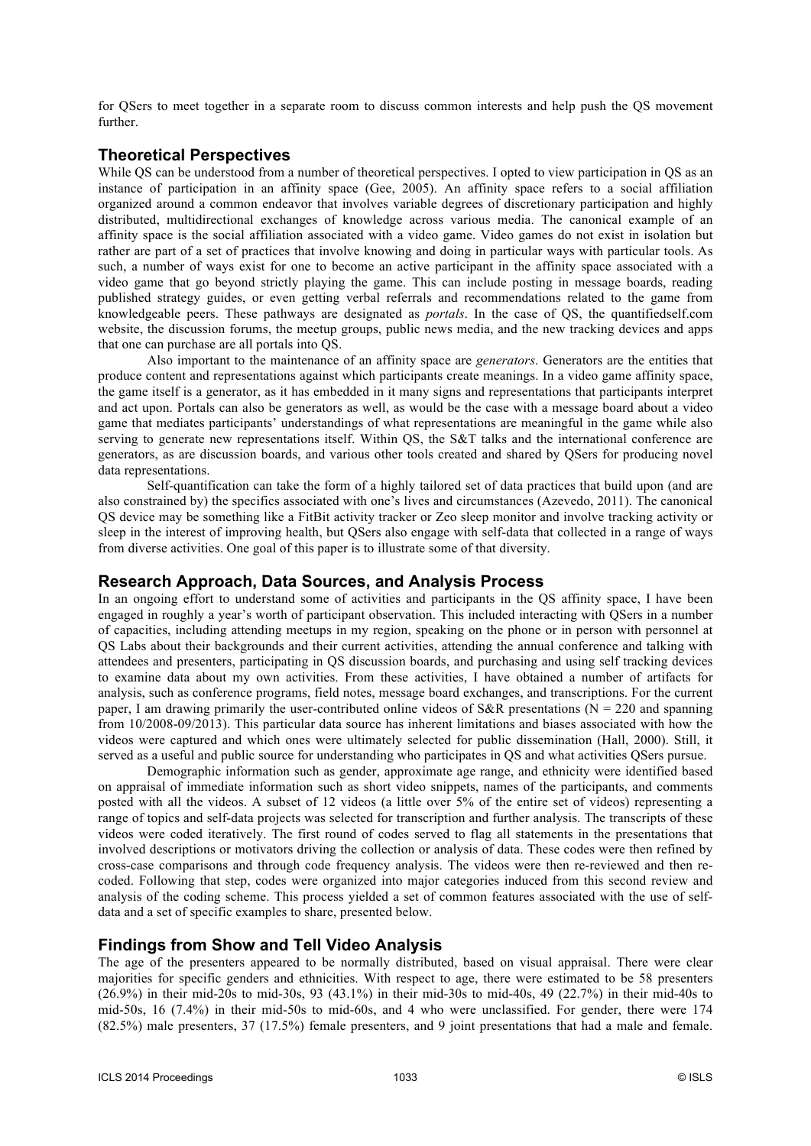for QSers to meet together in a separate room to discuss common interests and help push the QS movement further.

# **Theoretical Perspectives**

While QS can be understood from a number of theoretical perspectives. I opted to view participation in QS as an instance of participation in an affinity space (Gee, 2005). An affinity space refers to a social affiliation organized around a common endeavor that involves variable degrees of discretionary participation and highly distributed, multidirectional exchanges of knowledge across various media. The canonical example of an affinity space is the social affiliation associated with a video game. Video games do not exist in isolation but rather are part of a set of practices that involve knowing and doing in particular ways with particular tools. As such, a number of ways exist for one to become an active participant in the affinity space associated with a video game that go beyond strictly playing the game. This can include posting in message boards, reading published strategy guides, or even getting verbal referrals and recommendations related to the game from knowledgeable peers. These pathways are designated as *portals*. In the case of QS, the quantifiedself.com website, the discussion forums, the meetup groups, public news media, and the new tracking devices and apps that one can purchase are all portals into QS.

Also important to the maintenance of an affinity space are *generators*. Generators are the entities that produce content and representations against which participants create meanings. In a video game affinity space, the game itself is a generator, as it has embedded in it many signs and representations that participants interpret and act upon. Portals can also be generators as well, as would be the case with a message board about a video game that mediates participants' understandings of what representations are meaningful in the game while also serving to generate new representations itself. Within QS, the S&T talks and the international conference are generators, as are discussion boards, and various other tools created and shared by QSers for producing novel data representations.

Self-quantification can take the form of a highly tailored set of data practices that build upon (and are also constrained by) the specifics associated with one's lives and circumstances (Azevedo, 2011). The canonical QS device may be something like a FitBit activity tracker or Zeo sleep monitor and involve tracking activity or sleep in the interest of improving health, but QSers also engage with self-data that collected in a range of ways from diverse activities. One goal of this paper is to illustrate some of that diversity.

# **Research Approach, Data Sources, and Analysis Process**

In an ongoing effort to understand some of activities and participants in the QS affinity space, I have been engaged in roughly a year's worth of participant observation. This included interacting with QSers in a number of capacities, including attending meetups in my region, speaking on the phone or in person with personnel at QS Labs about their backgrounds and their current activities, attending the annual conference and talking with attendees and presenters, participating in QS discussion boards, and purchasing and using self tracking devices to examine data about my own activities. From these activities, I have obtained a number of artifacts for analysis, such as conference programs, field notes, message board exchanges, and transcriptions. For the current paper, I am drawing primarily the user-contributed online videos of  $S\&R$  presentations (N = 220 and spanning from 10/2008-09/2013). This particular data source has inherent limitations and biases associated with how the videos were captured and which ones were ultimately selected for public dissemination (Hall, 2000). Still, it served as a useful and public source for understanding who participates in QS and what activities QSers pursue.

 Demographic information such as gender, approximate age range, and ethnicity were identified based on appraisal of immediate information such as short video snippets, names of the participants, and comments posted with all the videos. A subset of 12 videos (a little over 5% of the entire set of videos) representing a range of topics and self-data projects was selected for transcription and further analysis. The transcripts of these videos were coded iteratively. The first round of codes served to flag all statements in the presentations that involved descriptions or motivators driving the collection or analysis of data. These codes were then refined by cross-case comparisons and through code frequency analysis. The videos were then re-reviewed and then recoded. Following that step, codes were organized into major categories induced from this second review and analysis of the coding scheme. This process yielded a set of common features associated with the use of selfdata and a set of specific examples to share, presented below.

# **Findings from Show and Tell Video Analysis**

The age of the presenters appeared to be normally distributed, based on visual appraisal. There were clear majorities for specific genders and ethnicities. With respect to age, there were estimated to be 58 presenters (26.9%) in their mid-20s to mid-30s, 93 (43.1%) in their mid-30s to mid-40s, 49 (22.7%) in their mid-40s to mid-50s, 16 (7.4%) in their mid-50s to mid-60s, and 4 who were unclassified. For gender, there were 174 (82.5%) male presenters, 37 (17.5%) female presenters, and 9 joint presentations that had a male and female.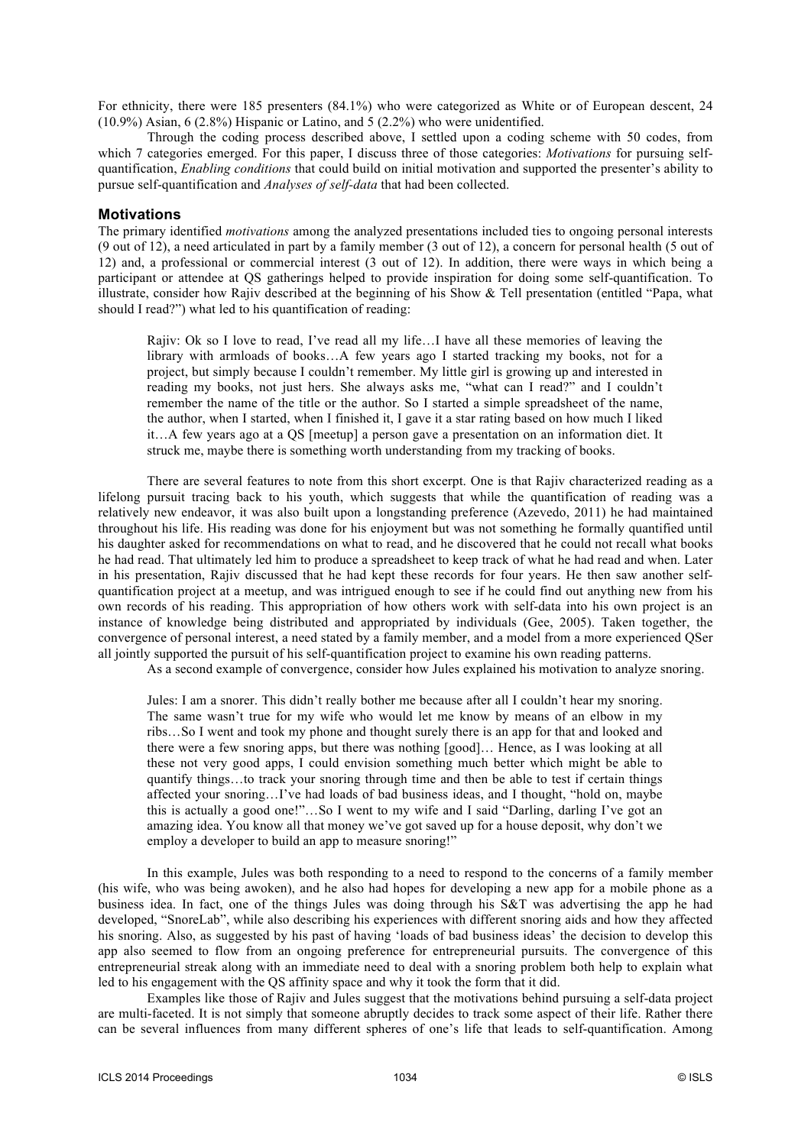For ethnicity, there were 185 presenters (84.1%) who were categorized as White or of European descent, 24 (10.9%) Asian, 6 (2.8%) Hispanic or Latino, and 5 (2.2%) who were unidentified.

Through the coding process described above, I settled upon a coding scheme with 50 codes, from which 7 categories emerged. For this paper, I discuss three of those categories: *Motivations* for pursuing selfquantification, *Enabling conditions* that could build on initial motivation and supported the presenter's ability to pursue self-quantification and *Analyses of self-data* that had been collected.

#### **Motivations**

The primary identified *motivations* among the analyzed presentations included ties to ongoing personal interests (9 out of 12), a need articulated in part by a family member (3 out of 12), a concern for personal health (5 out of 12) and, a professional or commercial interest (3 out of 12). In addition, there were ways in which being a participant or attendee at QS gatherings helped to provide inspiration for doing some self-quantification. To illustrate, consider how Rajiv described at the beginning of his Show  $\&$  Tell presentation (entitled "Papa, what should I read?") what led to his quantification of reading:

Rajiv: Ok so I love to read, I've read all my life…I have all these memories of leaving the library with armloads of books…A few years ago I started tracking my books, not for a project, but simply because I couldn't remember. My little girl is growing up and interested in reading my books, not just hers. She always asks me, "what can I read?" and I couldn't remember the name of the title or the author. So I started a simple spreadsheet of the name, the author, when I started, when I finished it, I gave it a star rating based on how much I liked it…A few years ago at a QS [meetup] a person gave a presentation on an information diet. It struck me, maybe there is something worth understanding from my tracking of books.

There are several features to note from this short excerpt. One is that Rajiv characterized reading as a lifelong pursuit tracing back to his youth, which suggests that while the quantification of reading was a relatively new endeavor, it was also built upon a longstanding preference (Azevedo, 2011) he had maintained throughout his life. His reading was done for his enjoyment but was not something he formally quantified until his daughter asked for recommendations on what to read, and he discovered that he could not recall what books he had read. That ultimately led him to produce a spreadsheet to keep track of what he had read and when. Later in his presentation, Rajiv discussed that he had kept these records for four years. He then saw another selfquantification project at a meetup, and was intrigued enough to see if he could find out anything new from his own records of his reading. This appropriation of how others work with self-data into his own project is an instance of knowledge being distributed and appropriated by individuals (Gee, 2005). Taken together, the convergence of personal interest, a need stated by a family member, and a model from a more experienced QSer all jointly supported the pursuit of his self-quantification project to examine his own reading patterns.

As a second example of convergence, consider how Jules explained his motivation to analyze snoring.

Jules: I am a snorer. This didn't really bother me because after all I couldn't hear my snoring. The same wasn't true for my wife who would let me know by means of an elbow in my ribs…So I went and took my phone and thought surely there is an app for that and looked and there were a few snoring apps, but there was nothing [good]… Hence, as I was looking at all these not very good apps, I could envision something much better which might be able to quantify things…to track your snoring through time and then be able to test if certain things affected your snoring…I've had loads of bad business ideas, and I thought, "hold on, maybe this is actually a good one!"…So I went to my wife and I said "Darling, darling I've got an amazing idea. You know all that money we've got saved up for a house deposit, why don't we employ a developer to build an app to measure snoring!"

In this example, Jules was both responding to a need to respond to the concerns of a family member (his wife, who was being awoken), and he also had hopes for developing a new app for a mobile phone as a business idea. In fact, one of the things Jules was doing through his S&T was advertising the app he had developed, "SnoreLab", while also describing his experiences with different snoring aids and how they affected his snoring. Also, as suggested by his past of having 'loads of bad business ideas' the decision to develop this app also seemed to flow from an ongoing preference for entrepreneurial pursuits. The convergence of this entrepreneurial streak along with an immediate need to deal with a snoring problem both help to explain what led to his engagement with the QS affinity space and why it took the form that it did.

Examples like those of Rajiv and Jules suggest that the motivations behind pursuing a self-data project are multi-faceted. It is not simply that someone abruptly decides to track some aspect of their life. Rather there can be several influences from many different spheres of one's life that leads to self-quantification. Among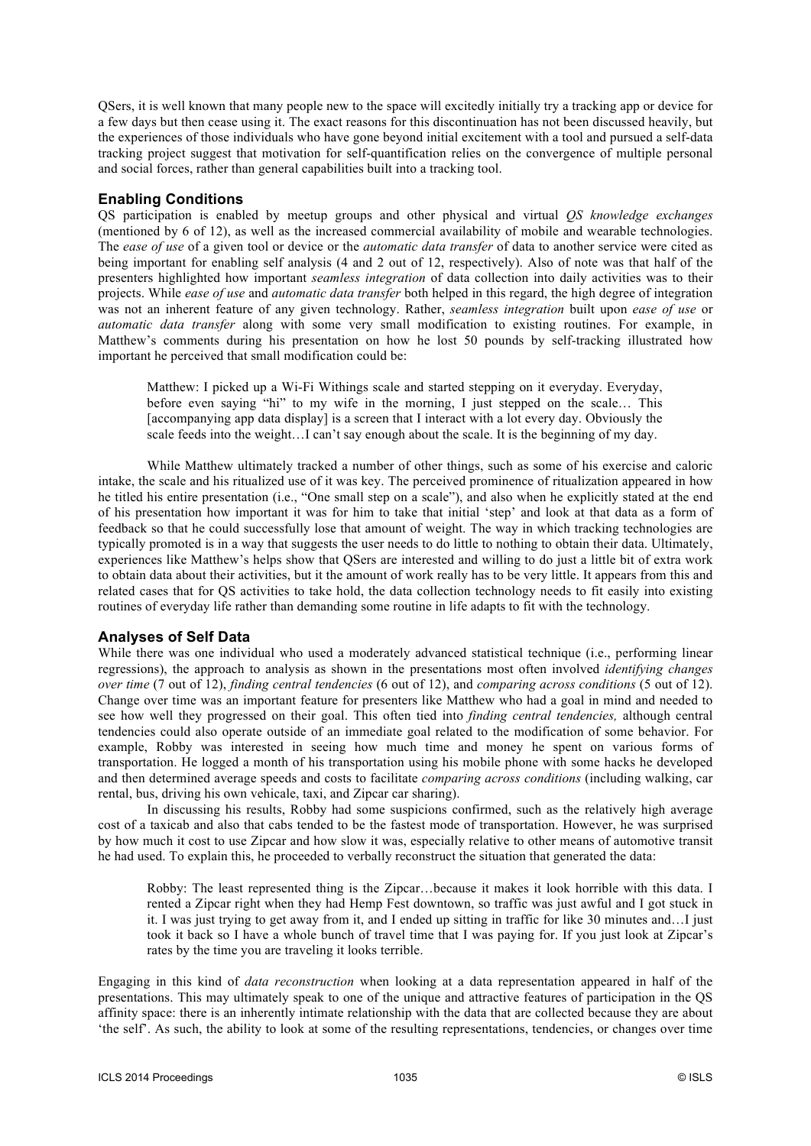QSers, it is well known that many people new to the space will excitedly initially try a tracking app or device for a few days but then cease using it. The exact reasons for this discontinuation has not been discussed heavily, but the experiences of those individuals who have gone beyond initial excitement with a tool and pursued a self-data tracking project suggest that motivation for self-quantification relies on the convergence of multiple personal and social forces, rather than general capabilities built into a tracking tool.

# **Enabling Conditions**

QS participation is enabled by meetup groups and other physical and virtual *QS knowledge exchanges* (mentioned by 6 of 12), as well as the increased commercial availability of mobile and wearable technologies. The *ease of use* of a given tool or device or the *automatic data transfer* of data to another service were cited as being important for enabling self analysis (4 and 2 out of 12, respectively). Also of note was that half of the presenters highlighted how important *seamless integration* of data collection into daily activities was to their projects. While *ease of use* and *automatic data transfer* both helped in this regard, the high degree of integration was not an inherent feature of any given technology. Rather, *seamless integration* built upon *ease of use* or *automatic data transfer* along with some very small modification to existing routines. For example, in Matthew's comments during his presentation on how he lost 50 pounds by self-tracking illustrated how important he perceived that small modification could be:

Matthew: I picked up a Wi-Fi Withings scale and started stepping on it everyday. Everyday, before even saying "hi" to my wife in the morning, I just stepped on the scale… This [accompanying app data display] is a screen that I interact with a lot every day. Obviously the scale feeds into the weight…I can't say enough about the scale. It is the beginning of my day.

While Matthew ultimately tracked a number of other things, such as some of his exercise and caloric intake, the scale and his ritualized use of it was key. The perceived prominence of ritualization appeared in how he titled his entire presentation (i.e., "One small step on a scale"), and also when he explicitly stated at the end of his presentation how important it was for him to take that initial 'step' and look at that data as a form of feedback so that he could successfully lose that amount of weight. The way in which tracking technologies are typically promoted is in a way that suggests the user needs to do little to nothing to obtain their data. Ultimately, experiences like Matthew's helps show that QSers are interested and willing to do just a little bit of extra work to obtain data about their activities, but it the amount of work really has to be very little. It appears from this and related cases that for QS activities to take hold, the data collection technology needs to fit easily into existing routines of everyday life rather than demanding some routine in life adapts to fit with the technology.

#### **Analyses of Self Data**

While there was one individual who used a moderately advanced statistical technique (i.e., performing linear regressions), the approach to analysis as shown in the presentations most often involved *identifying changes over time* (7 out of 12), *finding central tendencies* (6 out of 12), and *comparing across conditions* (5 out of 12). Change over time was an important feature for presenters like Matthew who had a goal in mind and needed to see how well they progressed on their goal. This often tied into *finding central tendencies,* although central tendencies could also operate outside of an immediate goal related to the modification of some behavior. For example, Robby was interested in seeing how much time and money he spent on various forms of transportation. He logged a month of his transportation using his mobile phone with some hacks he developed and then determined average speeds and costs to facilitate *comparing across conditions* (including walking, car rental, bus, driving his own vehicale, taxi, and Zipcar car sharing).

In discussing his results, Robby had some suspicions confirmed, such as the relatively high average cost of a taxicab and also that cabs tended to be the fastest mode of transportation. However, he was surprised by how much it cost to use Zipcar and how slow it was, especially relative to other means of automotive transit he had used. To explain this, he proceeded to verbally reconstruct the situation that generated the data:

Robby: The least represented thing is the Zipcar…because it makes it look horrible with this data. I rented a Zipcar right when they had Hemp Fest downtown, so traffic was just awful and I got stuck in it. I was just trying to get away from it, and I ended up sitting in traffic for like 30 minutes and…I just took it back so I have a whole bunch of travel time that I was paying for. If you just look at Zipcar's rates by the time you are traveling it looks terrible.

Engaging in this kind of *data reconstruction* when looking at a data representation appeared in half of the presentations. This may ultimately speak to one of the unique and attractive features of participation in the QS affinity space: there is an inherently intimate relationship with the data that are collected because they are about 'the self'. As such, the ability to look at some of the resulting representations, tendencies, or changes over time